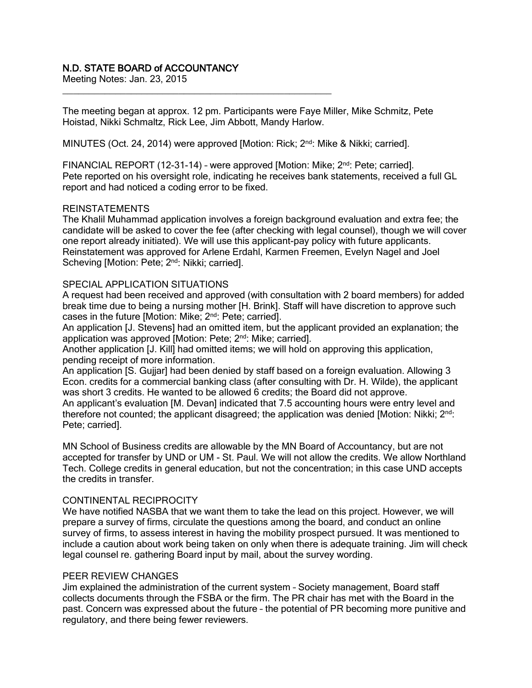# N.D. STATE BOARD of ACCOUNTANCY

Meeting Notes: Jan. 23, 2015

The meeting began at approx. 12 pm. Participants were Faye Miller, Mike Schmitz, Pete Hoistad, Nikki Schmaltz, Rick Lee, Jim Abbott, Mandy Harlow.

MINUTES (Oct. 24, 2014) were approved [Motion: Rick; 2<sup>nd</sup>: Mike & Nikki; carried].

\_\_\_\_\_\_\_\_\_\_\_\_\_\_\_\_\_\_\_\_\_\_\_\_\_\_\_\_\_\_\_\_\_\_\_\_\_\_\_\_\_\_\_\_\_\_\_\_\_\_\_

FINANCIAL REPORT (12-31-14) - were approved [Motion: Mike; 2<sup>nd</sup>: Pete; carried]. Pete reported on his oversight role, indicating he receives bank statements, received a full GL report and had noticed a coding error to be fixed.

## REINSTATEMENTS

The Khalil Muhammad application involves a foreign background evaluation and extra fee; the candidate will be asked to cover the fee (after checking with legal counsel), though we will cover one report already initiated). We will use this applicant-pay policy with future applicants. Reinstatement was approved for Arlene Erdahl, Karmen Freemen, Evelyn Nagel and Joel Scheving [Motion: Pete; 2<sup>nd</sup>: Nikki; carried].

## SPECIAL APPLICATION SITUATIONS

A request had been received and approved (with consultation with 2 board members) for added break time due to being a nursing mother [H. Brink]. Staff will have discretion to approve such cases in the future [Motion: Mike; 2<sup>nd</sup>: Pete; carried].

An application [J. Stevens] had an omitted item, but the applicant provided an explanation; the application was approved [Motion: Pete; 2<sup>nd</sup>: Mike; carried].

Another application [J. Kill] had omitted items; we will hold on approving this application, pending receipt of more information.

An application [S. Gujjar] had been denied by staff based on a foreign evaluation. Allowing 3 Econ. credits for a commercial banking class (after consulting with Dr. H. Wilde), the applicant was short 3 credits. He wanted to be allowed 6 credits; the Board did not approve.

An applicant's evaluation [M. Devan] indicated that 7.5 accounting hours were entry level and therefore not counted; the applicant disagreed; the application was denied [Motion: Nikki;  $2<sup>nd</sup>$ : Pete; carried].

MN School of Business credits are allowable by the MN Board of Accountancy, but are not accepted for transfer by UND or UM - St. Paul. We will not allow the credits. We allow Northland Tech. College credits in general education, but not the concentration; in this case UND accepts the credits in transfer.

## CONTINENTAL RECIPROCITY

We have notified NASBA that we want them to take the lead on this project. However, we will prepare a survey of firms, circulate the questions among the board, and conduct an online survey of firms, to assess interest in having the mobility prospect pursued. It was mentioned to include a caution about work being taken on only when there is adequate training. Jim will check legal counsel re. gathering Board input by mail, about the survey wording.

### PEER REVIEW CHANGES

Jim explained the administration of the current system – Society management, Board staff collects documents through the FSBA or the firm. The PR chair has met with the Board in the past. Concern was expressed about the future – the potential of PR becoming more punitive and regulatory, and there being fewer reviewers.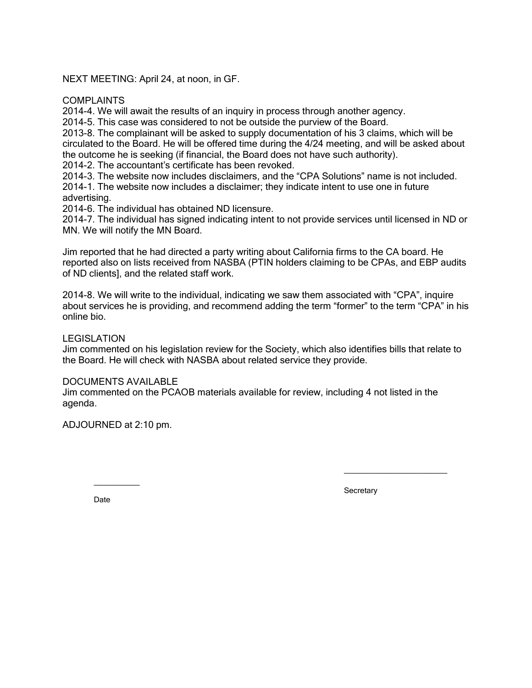NEXT MEETING: April 24, at noon, in GF.

**COMPLAINTS** 

2014-4. We will await the results of an inquiry in process through another agency.

2014-5. This case was considered to not be outside the purview of the Board.

2013-8. The complainant will be asked to supply documentation of his 3 claims, which will be circulated to the Board. He will be offered time during the 4/24 meeting, and will be asked about the outcome he is seeking (if financial, the Board does not have such authority).

2014-2. The accountant's certificate has been revoked.

2014-3. The website now includes disclaimers, and the "CPA Solutions" name is not included. 2014-1. The website now includes a disclaimer; they indicate intent to use one in future advertising.

2014-6. The individual has obtained ND licensure.

2014-7. The individual has signed indicating intent to not provide services until licensed in ND or MN. We will notify the MN Board.

Jim reported that he had directed a party writing about California firms to the CA board. He reported also on lists received from NASBA (PTIN holders claiming to be CPAs, and EBP audits of ND clients], and the related staff work.

2014-8. We will write to the individual, indicating we saw them associated with "CPA", inquire about services he is providing, and recommend adding the term "former" to the term "CPA" in his online bio.

## LEGISLATION

Jim commented on his legislation review for the Society, which also identifies bills that relate to the Board. He will check with NASBA about related service they provide.

### DOCUMENTS AVAILABLE

Jim commented on the PCAOB materials available for review, including 4 not listed in the agenda.

ADJOURNED at 2:10 pm.

 $\overline{\phantom{a}}$ 

**Secretary** 

 $\_$ 

Date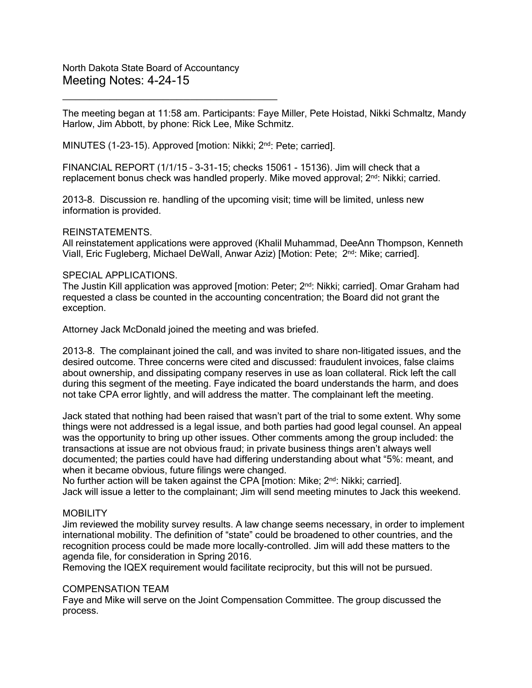North Dakota State Board of Accountancy Meeting Notes: 4-24-15

 $\overline{\phantom{a}}$  , where  $\overline{\phantom{a}}$  , where  $\overline{\phantom{a}}$  ,  $\overline{\phantom{a}}$  ,  $\overline{\phantom{a}}$  ,  $\overline{\phantom{a}}$  ,  $\overline{\phantom{a}}$  ,  $\overline{\phantom{a}}$  ,  $\overline{\phantom{a}}$  ,  $\overline{\phantom{a}}$  ,  $\overline{\phantom{a}}$  ,  $\overline{\phantom{a}}$  ,  $\overline{\phantom{a}}$  ,  $\overline{\phantom{a}}$  ,  $\overline{\phantom{a}}$  ,

The meeting began at 11:58 am. Participants: Faye Miller, Pete Hoistad, Nikki Schmaltz, Mandy Harlow, Jim Abbott, by phone: Rick Lee, Mike Schmitz.

MINUTES (1-23-15). Approved [motion: Nikki; 2nd: Pete; carried].

FINANCIAL REPORT (1/1/15 – 3-31-15; checks 15061 - 15136). Jim will check that a replacement bonus check was handled properly. Mike moved approval; 2<sup>nd</sup>: Nikki; carried.

2013-8. Discussion re. handling of the upcoming visit; time will be limited, unless new information is provided.

#### REINSTATEMENTS.

All reinstatement applications were approved (Khalil Muhammad, DeeAnn Thompson, Kenneth Viall, Eric Fugleberg, Michael DeWall, Anwar Aziz) [Motion: Pete; 2<sup>nd</sup>: Mike; carried].

#### SPECIAL APPLICATIONS.

The Justin Kill application was approved [motion: Peter; 2<sup>nd</sup>: Nikki; carried]. Omar Graham had requested a class be counted in the accounting concentration; the Board did not grant the exception.

Attorney Jack McDonald joined the meeting and was briefed.

2013-8. The complainant joined the call, and was invited to share non-litigated issues, and the desired outcome. Three concerns were cited and discussed: fraudulent invoices, false claims about ownership, and dissipating company reserves in use as loan collateral. Rick left the call during this segment of the meeting. Faye indicated the board understands the harm, and does not take CPA error lightly, and will address the matter. The complainant left the meeting.

Jack stated that nothing had been raised that wasn't part of the trial to some extent. Why some things were not addressed is a legal issue, and both parties had good legal counsel. An appeal was the opportunity to bring up other issues. Other comments among the group included: the transactions at issue are not obvious fraud; in private business things aren't always well documented; the parties could have had differing understanding about what "5%: meant, and when it became obvious, future filings were changed.

No further action will be taken against the CPA [motion: Mike;  $2<sup>nd</sup>$ : Nikki; carried]. Jack will issue a letter to the complainant; Jim will send meeting minutes to Jack this weekend.

### MOBILITY

Jim reviewed the mobility survey results. A law change seems necessary, in order to implement international mobility. The definition of "state" could be broadened to other countries, and the recognition process could be made more locally-controlled. Jim will add these matters to the agenda file, for consideration in Spring 2016.

Removing the IQEX requirement would facilitate reciprocity, but this will not be pursued.

### COMPENSATION TEAM

Faye and Mike will serve on the Joint Compensation Committee. The group discussed the process.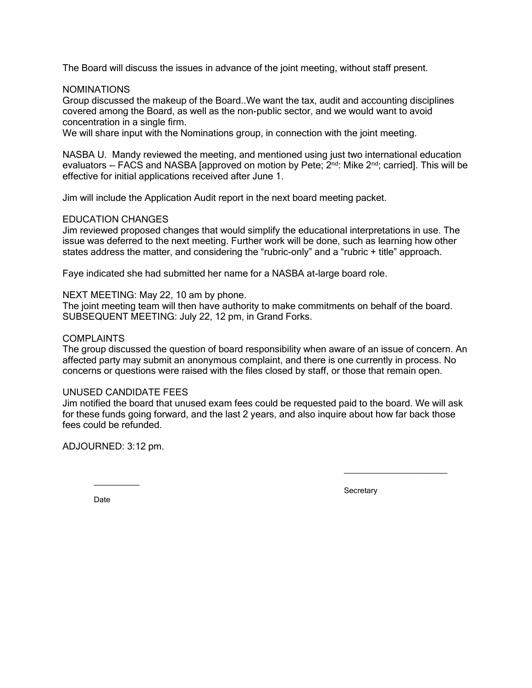The Board will discuss the issues in advance of the joint meeting, without staff present.

NOMINATIONS

Group discussed the makeup of the Board..We want the tax, audit and accounting disciplines covered among the Board, as well as the non-public sector, and we would want to avoid concentration in a single firm.

We will share input with the Nominations group, in connection with the joint meeting.

NASBA U. Mandy reviewed the meeting, and mentioned using just two international education evaluators -- FACS and NASBA [approved on motion by Pete; 2<sup>nd</sup>: Mike 2<sup>nd</sup>; carried]. This will be effective for initial applications received after June 1.

Jim will include the Application Audit report in the next board meeting packet.

### EDUCATION CHANGES

Jim reviewed proposed changes that would simplify the educational interpretations in use. The issue was deferred to the next meeting. Further work will be done, such as learning how other states address the matter, and considering the "rubric-only" and a "rubric + title" approach.

Faye indicated she had submitted her name for a NASBA at-large board role.

NEXT MEETING: May 22, 10 am by phone.

The joint meeting team will then have authority to make commitments on behalf of the board. SUBSEQUENT MEETING: July 22, 12 pm, in Grand Forks.

## COMPLAINTS

The group discussed the question of board responsibility when aware of an issue of concern. An affected party may submit an anonymous complaint, and there is one currently in process. No concerns or questions were raised with the files closed by staff, or those that remain open.

### UNUSED CANDIDATE FEES

Jim notified the board that unused exam fees could be requested paid to the board. We will ask for these funds going forward, and the last 2 years, and also inquire about how far back those fees could be refunded.

ADJOURNED: 3:12 pm.

 $\overline{\phantom{a}}$ 

**Secretary** 

 $\_$ 

Date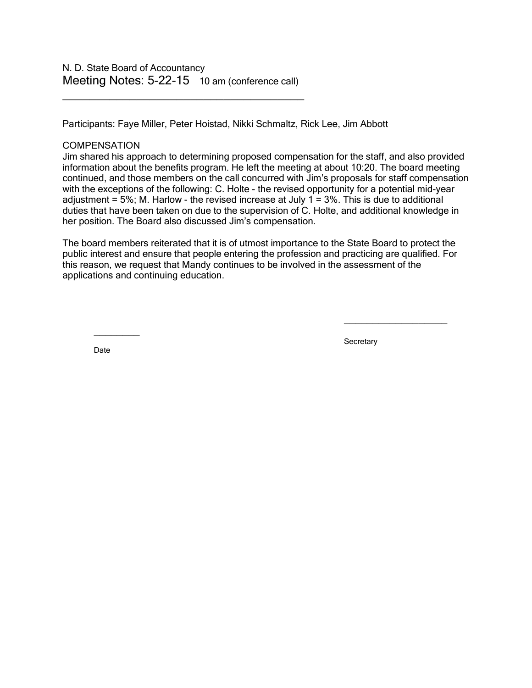\_\_\_\_\_\_\_\_\_\_\_\_\_\_\_\_\_\_\_\_\_\_\_\_\_\_\_\_\_\_\_\_\_\_\_\_

Participants: Faye Miller, Peter Hoistad, Nikki Schmaltz, Rick Lee, Jim Abbott

### **COMPENSATION**

Jim shared his approach to determining proposed compensation for the staff, and also provided information about the benefits program. He left the meeting at about 10:20. The board meeting continued, and those members on the call concurred with Jim's proposals for staff compensation with the exceptions of the following: C. Holte - the revised opportunity for a potential mid-year adjustment =  $5\%$ ; M. Harlow - the revised increase at July 1 =  $3\%$ . This is due to additional duties that have been taken on due to the supervision of C. Holte, and additional knowledge in her position. The Board also discussed Jim's compensation.

The board members reiterated that it is of utmost importance to the State Board to protect the public interest and ensure that people entering the profession and practicing are qualified. For this reason, we request that Mandy continues to be involved in the assessment of the applications and continuing education.

 $\overline{\phantom{a}}$ 

**Secretary** 

 $\_$ 

Date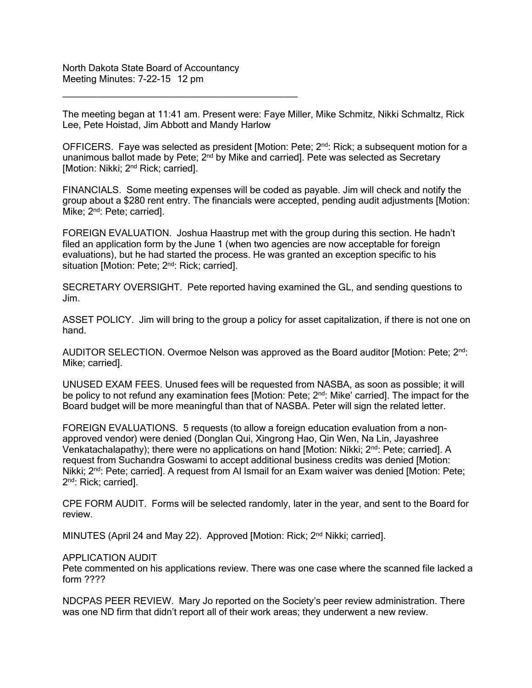North Dakota State Board of Accountancy Meeting Minutes: 7-22-15 12 pm

\_\_\_\_\_\_\_\_\_\_\_\_\_\_\_\_\_\_\_\_\_\_\_\_\_\_\_\_\_\_\_\_\_\_\_

The meeting began at 11:41 am. Present were: Faye Miller, Mike Schmitz, Nikki Schmaltz, Rick Lee, Pete Hoistad, Jim Abbott and Mandy Harlow

OFFICERS. Faye was selected as president [Motion: Pete;  $2<sup>nd</sup>$ : Rick; a subsequent motion for a unanimous ballot made by Pete; 2<sup>nd</sup> by Mike and carried]. Pete was selected as Secretary [Motion: Nikki; 2<sup>nd</sup> Rick; carried].

FINANCIALS. Some meeting expenses will be coded as payable. Jim will check and notify the group about a \$280 rent entry. The financials were accepted, pending audit adjustments [Motion: Mike; 2<sup>nd</sup>: Pete; carried].

FOREIGN EVALUATION. Joshua Haastrup met with the group during this section. He hadn't filed an application form by the June 1 (when two agencies are now acceptable for foreign evaluations), but he had started the process. He was granted an exception specific to his situation [Motion: Pete; 2<sup>nd</sup>: Rick; carried].

SECRETARY OVERSIGHT. Pete reported having examined the GL, and sending questions to Jim.

ASSET POLICY. Jim will bring to the group a policy for asset capitalization, if there is not one on hand.

AUDITOR SELECTION. Overmoe Nelson was approved as the Board auditor [Motion: Pete; 2<sup>nd</sup>: Mike; carried].

UNUSED EXAM FEES. Unused fees will be requested from NASBA, as soon as possible; it will be policy to not refund any examination fees [Motion: Pete; 2<sup>nd</sup>: Mike' carried]. The impact for the Board budget will be more meaningful than that of NASBA. Peter will sign the related letter.

FOREIGN EVALUATIONS. 5 requests (to allow a foreign education evaluation from a nonapproved vendor) were denied (Donglan Qui, Xingrong Hao, Qin Wen, Na Lin, Jayashree Venkatachalapathy); there were no applications on hand [Motion: Nikki; 2<sup>nd</sup>: Pete; carried]. A request from Suchandra Goswami to accept additional business credits was denied [Motion: Nikki;  $2<sup>nd</sup>$ : Pete; carried]. A request from AI Ismail for an Exam waiver was denied [Motion: Pete; 2nd: Rick; carried].

CPE FORM AUDIT. Forms will be selected randomly, later in the year, and sent to the Board for review.

MINUTES (April 24 and May 22). Approved [Motion: Rick; 2<sup>nd</sup> Nikki; carried].

#### APPLICATION AUDIT

Pete commented on his applications review. There was one case where the scanned file lacked a form ????

NDCPAS PEER REVIEW. Mary Jo reported on the Society's peer review administration. There was one ND firm that didn't report all of their work areas; they underwent a new review.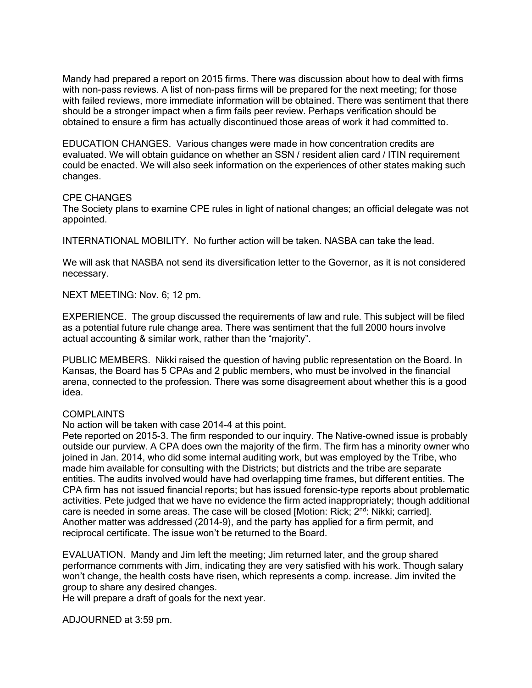Mandy had prepared a report on 2015 firms. There was discussion about how to deal with firms with non-pass reviews. A list of non-pass firms will be prepared for the next meeting; for those with failed reviews, more immediate information will be obtained. There was sentiment that there should be a stronger impact when a firm fails peer review. Perhaps verification should be obtained to ensure a firm has actually discontinued those areas of work it had committed to.

EDUCATION CHANGES. Various changes were made in how concentration credits are evaluated. We will obtain guidance on whether an SSN / resident alien card / ITIN requirement could be enacted. We will also seek information on the experiences of other states making such changes.

### CPE CHANGES

The Society plans to examine CPE rules in light of national changes; an official delegate was not appointed.

INTERNATIONAL MOBILITY. No further action will be taken. NASBA can take the lead.

We will ask that NASBA not send its diversification letter to the Governor, as it is not considered necessary.

NEXT MEETING: Nov. 6; 12 pm.

EXPERIENCE. The group discussed the requirements of law and rule. This subject will be filed as a potential future rule change area. There was sentiment that the full 2000 hours involve actual accounting & similar work, rather than the "majority".

PUBLIC MEMBERS. Nikki raised the question of having public representation on the Board. In Kansas, the Board has 5 CPAs and 2 public members, who must be involved in the financial arena, connected to the profession. There was some disagreement about whether this is a good idea.

### COMPLAINTS

No action will be taken with case 2014-4 at this point.

Pete reported on 2015-3. The firm responded to our inquiry. The Native-owned issue is probably outside our purview. A CPA does own the majority of the firm. The firm has a minority owner who joined in Jan. 2014, who did some internal auditing work, but was employed by the Tribe, who made him available for consulting with the Districts; but districts and the tribe are separate entities. The audits involved would have had overlapping time frames, but different entities. The CPA firm has not issued financial reports; but has issued forensic-type reports about problematic activities. Pete judged that we have no evidence the firm acted inappropriately; though additional care is needed in some areas. The case will be closed [Motion: Rick;  $2<sup>nd</sup>$ : Nikki; carried]. Another matter was addressed (2014-9), and the party has applied for a firm permit, and reciprocal certificate. The issue won't be returned to the Board.

EVALUATION. Mandy and Jim left the meeting; Jim returned later, and the group shared performance comments with Jim, indicating they are very satisfied with his work. Though salary won't change, the health costs have risen, which represents a comp. increase. Jim invited the group to share any desired changes.

He will prepare a draft of goals for the next year.

ADJOURNED at 3:59 pm.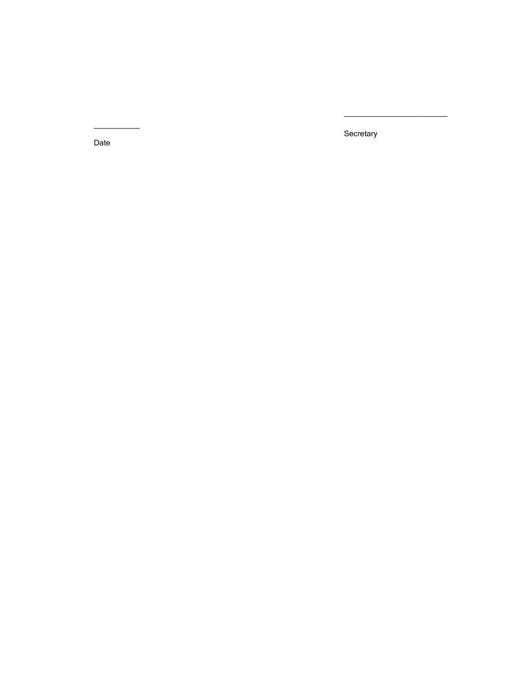**Secretary** 

 $\_$ 

Date

 $\overline{\phantom{a}}$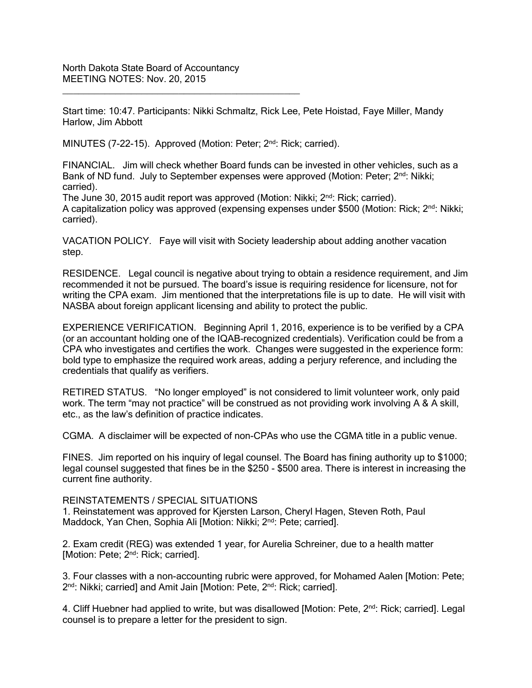Start time: 10:47. Participants: Nikki Schmaltz, Rick Lee, Pete Hoistad, Faye Miller, Mandy Harlow, Jim Abbott

MINUTES (7-22-15). Approved (Motion: Peter; 2<sup>nd</sup>: Rick; carried).

\_\_\_\_\_\_\_\_\_\_\_\_\_\_\_\_\_\_\_\_\_\_\_\_\_\_\_\_\_\_\_\_\_\_\_\_\_\_\_\_\_\_\_\_\_

FINANCIAL. Jim will check whether Board funds can be invested in other vehicles, such as a Bank of ND fund. July to September expenses were approved (Motion: Peter; 2<sup>nd</sup>: Nikki; carried).

The June 30, 2015 audit report was approved (Motion: Nikki; 2<sup>nd</sup>: Rick; carried). A capitalization policy was approved (expensing expenses under \$500 (Motion: Rick; 2<sup>nd</sup>: Nikki; carried).

VACATION POLICY. Faye will visit with Society leadership about adding another vacation step.

RESIDENCE. Legal council is negative about trying to obtain a residence requirement, and Jim recommended it not be pursued. The board's issue is requiring residence for licensure, not for writing the CPA exam. Jim mentioned that the interpretations file is up to date. He will visit with NASBA about foreign applicant licensing and ability to protect the public.

EXPERIENCE VERIFICATION. Beginning April 1, 2016, experience is to be verified by a CPA (or an accountant holding one of the IQAB-recognized credentials). Verification could be from a CPA who investigates and certifies the work. Changes were suggested in the experience form: bold type to emphasize the required work areas, adding a perjury reference, and including the credentials that qualify as verifiers.

RETIRED STATUS. "No longer employed" is not considered to limit volunteer work, only paid work. The term "may not practice" will be construed as not providing work involving A & A skill, etc., as the law's definition of practice indicates.

CGMA. A disclaimer will be expected of non-CPAs who use the CGMA title in a public venue.

FINES. Jim reported on his inquiry of legal counsel. The Board has fining authority up to \$1000; legal counsel suggested that fines be in the \$250 - \$500 area. There is interest in increasing the current fine authority.

### REINSTATEMENTS / SPECIAL SITUATIONS

1. Reinstatement was approved for Kjersten Larson, Cheryl Hagen, Steven Roth, Paul Maddock, Yan Chen, Sophia Ali [Motion: Nikki; 2<sup>nd</sup>: Pete; carried].

2. Exam credit (REG) was extended 1 year, for Aurelia Schreiner, due to a health matter [Motion: Pete; 2<sup>nd</sup>: Rick; carried].

3. Four classes with a non-accounting rubric were approved, for Mohamed Aalen [Motion: Pete; 2<sup>nd</sup>: Nikki; carried] and Amit Jain [Motion: Pete, 2<sup>nd</sup>: Rick; carried].

4. Cliff Huebner had applied to write, but was disallowed [Motion: Pete, 2<sup>nd</sup>: Rick; carried]. Legal counsel is to prepare a letter for the president to sign.